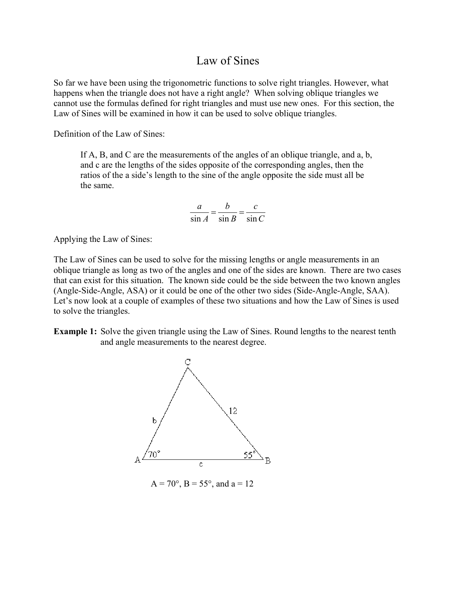# Law of Sines

So far we have been using the trigonometric functions to solve right triangles. However, what happens when the triangle does not have a right angle? When solving oblique triangles we cannot use the formulas defined for right triangles and must use new ones. For this section, the Law of Sines will be examined in how it can be used to solve oblique triangles.

Definition of the Law of Sines:

If A, B, and C are the measurements of the angles of an oblique triangle, and a, b, and c are the lengths of the sides opposite of the corresponding angles, then the ratios of the a side's length to the sine of the angle opposite the side must all be the same.

$$
\frac{a}{\sin A} = \frac{b}{\sin B} = \frac{c}{\sin C}
$$

Applying the Law of Sines:

The Law of Sines can be used to solve for the missing lengths or angle measurements in an oblique triangle as long as two of the angles and one of the sides are known. There are two cases that can exist for this situation. The known side could be the side between the two known angles (Angle-Side-Angle, ASA) or it could be one of the other two sides (Side-Angle-Angle, SAA). Let's now look at a couple of examples of these two situations and how the Law of Sines is used to solve the triangles.

**Example 1:** Solve the given triangle using the Law of Sines. Round lengths to the nearest tenth and angle measurements to the nearest degree.



 $A = 70^{\circ}$ ,  $B = 55^{\circ}$ , and  $a = 12$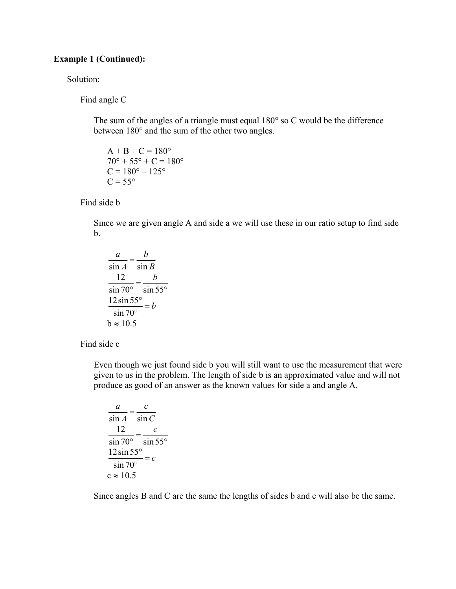### **Example 1 (Continued):**

Solution:

Find angle C

 The sum of the angles of a triangle must equal 180° so C would be the difference between 180° and the sum of the other two angles.

 $A + B + C = 180^{\circ}$  $70^{\circ} + 55^{\circ} + C = 180^{\circ}$  $C = 180^{\circ} - 125^{\circ}$  $C = 55^{\circ}$ 

Find side b

 Since we are given angle A and side a we will use these in our ratio setup to find side b.

$$
\frac{a}{\sin A} = \frac{b}{\sin B}
$$

$$
\frac{12}{\sin 70^\circ} = \frac{b}{\sin 55^\circ}
$$

$$
\frac{12 \sin 55^\circ}{\sin 70^\circ} = b
$$

$$
b \approx 10.5
$$

Find side c

 Even though we just found side b you will still want to use the measurement that were given to us in the problem. The length of side b is an approximated value and will not produce as good of an answer as the known values for side a and angle A.

$$
\frac{a}{\sin A} = \frac{c}{\sin C}
$$

$$
\frac{12}{\sin 70^\circ} = \frac{c}{\sin 55^\circ}
$$

$$
\frac{12 \sin 55^\circ}{\sin 70^\circ} = c
$$

$$
c \approx 10.5
$$

Since angles B and C are the same the lengths of sides b and c will also be the same.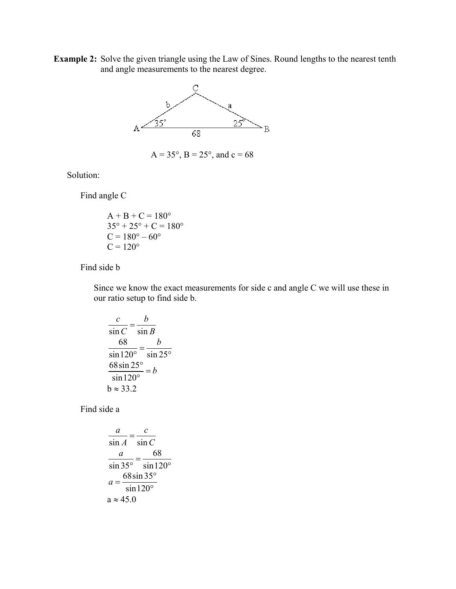**Example 2:** Solve the given triangle using the Law of Sines. Round lengths to the nearest tenth and angle measurements to the nearest degree.



$$
A = 35^{\circ}
$$
,  $B = 25^{\circ}$ , and  $c = 68$ 

Solution:

Find angle C

$$
A + B + C = 180^{\circ}
$$
  
35° + 25° + C = 180°  
C = 180° - 60°  
C = 120°

Find side b

 Since we know the exact measurements for side c and angle C we will use these in our ratio setup to find side b.

$$
\frac{c}{\sin C} = \frac{b}{\sin B}
$$

$$
\frac{68}{\sin 120^\circ} = \frac{b}{\sin 25^\circ}
$$

$$
\frac{68 \sin 25^\circ}{\sin 120^\circ} = b
$$

$$
b \approx 33.2
$$

Find side a

$$
\frac{a}{\sin A} = \frac{c}{\sin C}
$$

$$
\frac{a}{\sin 35^\circ} = \frac{68}{\sin 120^\circ}
$$

$$
a = \frac{68 \sin 35^\circ}{\sin 120^\circ}
$$

$$
a \approx 45.0
$$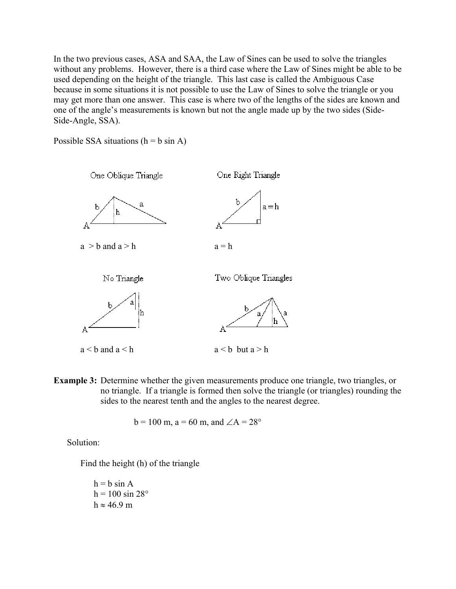In the two previous cases, ASA and SAA, the Law of Sines can be used to solve the triangles without any problems. However, there is a third case where the Law of Sines might be able to be used depending on the height of the triangle. This last case is called the Ambiguous Case because in some situations it is not possible to use the Law of Sines to solve the triangle or you may get more than one answer. This case is where two of the lengths of the sides are known and one of the angle's measurements is known but not the angle made up by the two sides (Side-Side-Angle, SSA).

Possible SSA situations  $(h = b \sin A)$ 



 $a < b$  and  $a < h$  a  $\lt$  b but  $a > h$ 

**Example 3:** Determine whether the given measurements produce one triangle, two triangles, or no triangle. If a triangle is formed then solve the triangle (or triangles) rounding the sides to the nearest tenth and the angles to the nearest degree.

$$
b = 100
$$
 m,  $a = 60$  m, and  $\angle A = 28^{\circ}$ 

Solution:

Find the height (h) of the triangle

$$
h = b \sin A
$$
  
h = 100 sin 28°  

$$
h \approx 46.9 \text{ m}
$$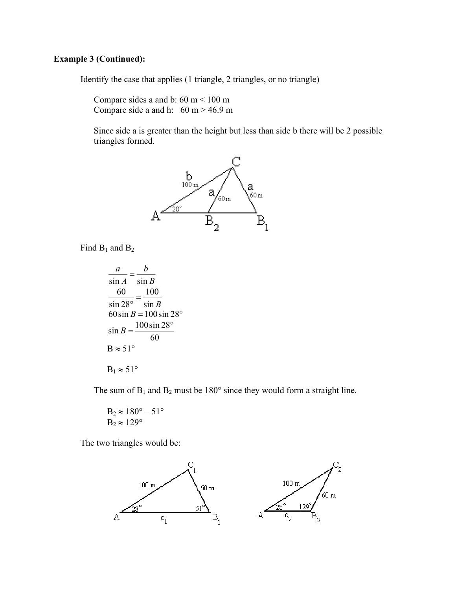## **Example 3 (Continued):**

Identify the case that applies (1 triangle, 2 triangles, or no triangle)

Compare sides a and b:  $60 \text{ m} < 100 \text{ m}$ Compare side a and h:  $60 \text{ m} > 46.9 \text{ m}$ 

Since side a is greater than the height but less than side b there will be 2 possible triangles formed.



Find  $B_1$  and  $B_2$ 

 $\frac{a}{\sin A} = \frac{b}{\sin B}$  $\frac{60}{\sin 28^\circ} = \frac{100}{\sin B}$ 60 sin  $B = 100 \sin 28^\circ$  $\sin B = \frac{100 \sin 28^{\circ}}{100 \sin 28^{\circ}}$ 60  $B \approx 51^{\circ}$  $B_1 \approx 51^\circ$ 

The sum of  $B_1$  and  $B_2$  must be 180 $\degree$  since they would form a straight line.

$$
B_2 \approx 180^\circ - 51^\circ
$$
  
B<sub>2</sub>  $\approx 129^\circ$ 

The two triangles would be:

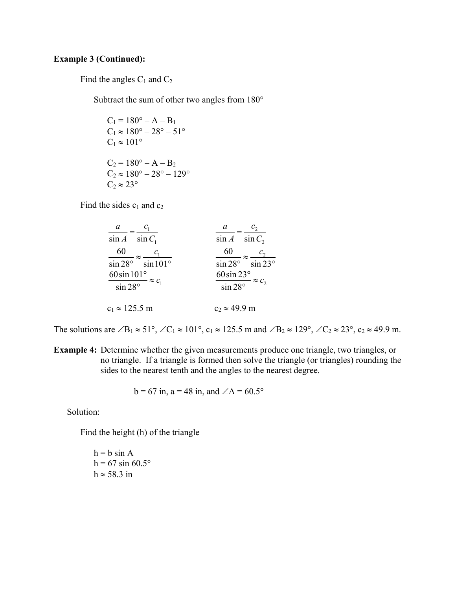#### **Example 3 (Continued):**

Find the angles  $C_1$  and  $C_2$ 

Subtract the sum of other two angles from 180°

 $C_1 = 180^\circ - A - B_1$  $C_1 \approx 180^{\circ} - 28^{\circ} - 51^{\circ}$  $C_1 \approx 101^\circ$  $C_2 = 180^\circ - A - B_2$  $C_2 \approx 180^\circ - 28^\circ - 129^\circ$  $C_2 \approx 23^\circ$ 

Find the sides  $c_1$  and  $c_2$ 

| a                                | a                               |
|----------------------------------|---------------------------------|
| $\sin A$                         | $\sin C_2$                      |
| $\sin C_1$                       | $\sin A$                        |
| 60                               | 60                              |
| $\sin 28^\circ$ $\sin 101^\circ$ | $\sin 28^\circ$ $\sin 23^\circ$ |
| 60 $\sin 101^\circ$              | $60 \sin 23^\circ$              |
| $\approx c_{1}$                  | $\approx c_2$                   |
| $\sin 28^\circ$                  | $\frac{1}{\sin 28^\circ}$       |
| $c_1 \approx 125.5 \text{ m}$    | $c_2 \approx 49.9$ m            |

The solutions are ∠B<sub>1</sub>  $\approx$  51°, ∠C<sub>1</sub>  $\approx$  101°, c<sub>1</sub>  $\approx$  125.5 m and ∠B<sub>2</sub>  $\approx$  129°, ∠C<sub>2</sub>  $\approx$  23°, c<sub>2</sub>  $\approx$  49.9 m.

**Example 4:** Determine whether the given measurements produce one triangle, two triangles, or no triangle. If a triangle is formed then solve the triangle (or triangles) rounding the sides to the nearest tenth and the angles to the nearest degree.

$$
b = 67
$$
 in,  $a = 48$  in, and  $\angle A = 60.5^{\circ}$ 

Solution:

Find the height (h) of the triangle

 $h = b \sin A$  $h = 67 \sin 60.5^{\circ}$  $h \approx 58.3$  in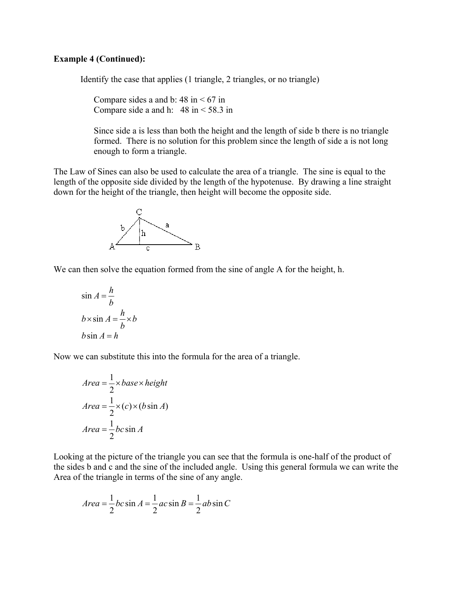#### **Example 4 (Continued):**

Identify the case that applies (1 triangle, 2 triangles, or no triangle)

Compare sides a and b:  $48 \text{ in} < 67 \text{ in}$ Compare side a and h:  $48 \text{ in} < 58.3 \text{ in}$ 

 Since side a is less than both the height and the length of side b there is no triangle formed. There is no solution for this problem since the length of side a is not long enough to form a triangle.

The Law of Sines can also be used to calculate the area of a triangle. The sine is equal to the length of the opposite side divided by the length of the hypotenuse. By drawing a line straight down for the height of the triangle, then height will become the opposite side.



We can then solve the equation formed from the sine of angle A for the height, h.

$$
\sin A = \frac{h}{b}
$$
  
b \times \sin A = \frac{h}{b} \times b  
b \sin A = h

Now we can substitute this into the formula for the area of a triangle.

$$
Area = \frac{1}{2} \times base \times height
$$
  
Area =  $\frac{1}{2} \times (c) \times (b \sin A)$   
Area =  $\frac{1}{2}bc \sin A$ 

Looking at the picture of the triangle you can see that the formula is one-half of the product of the sides b and c and the sine of the included angle. Using this general formula we can write the Area of the triangle in terms of the sine of any angle.

$$
Area = \frac{1}{2}bc\sin A = \frac{1}{2}ac\sin B = \frac{1}{2}ab\sin C
$$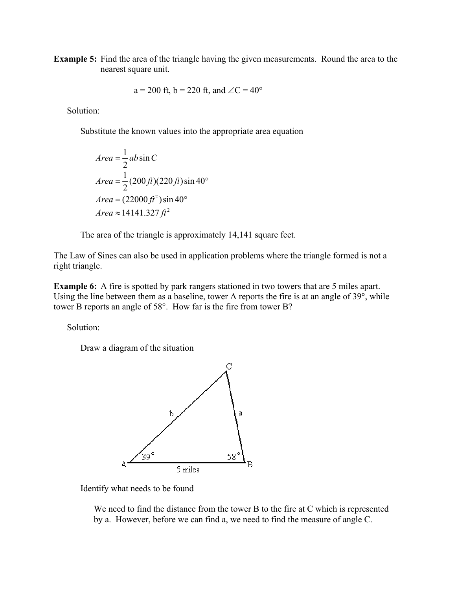**Example 5:** Find the area of the triangle having the given measurements. Round the area to the nearest square unit.

$$
a = 200
$$
 ft,  $b = 220$  ft, and  $\angle C = 40^{\circ}$ 

Solution:

Substitute the known values into the appropriate area equation

$$
Area = \frac{1}{2}ab\sin C
$$
  
Area =  $\frac{1}{2}(200\text{ ft})(220\text{ ft})\sin 40^\circ$   
Area =  $(22000\text{ ft}^2)\sin 40^\circ$   
Area \approx 14141.327 ft<sup>2</sup>

The area of the triangle is approximately 14,141 square feet.

The Law of Sines can also be used in application problems where the triangle formed is not a right triangle.

Using the line between them as a baseline, tower A reports the fire is at an angle of  $39^{\circ}$ , while tower B reports an angle of  $58^\circ$ . How far is the fire from tower B? **Example 6:** A fire is spotted by park rangers stationed in two towers that are 5 miles apart.

Solution:

Draw a diagram of the situation



Identify what needs to be found

We need to find the distance from the tower B to the fire at  $C$  which is represented by a. However, before we can find a, we need to find the measure of angle C.